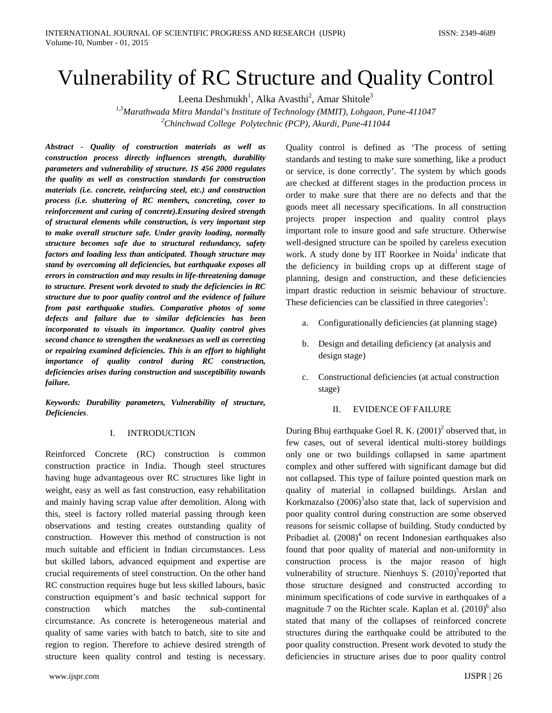# Vulnerability of RC Structure and Quality Control

Leena Deshmukh<sup>1</sup>, Alka Avasthi<sup>2</sup>, Amar Shitole<sup>3</sup>

*1,3Marathwada Mitra Mandal's Institute of Technology (MMIT), Lohgaon, Pune-411047 2 Chinchwad College Polytechnic (PCP), Akurdi, Pune-411044*

*Abstract - Quality of construction materials as well as construction process directly influences strength, durability parameters and vulnerability of structure. IS 456 2000 regulates the quality as well as construction standards for construction materials (i.e. concrete, reinforcing steel, etc.) and construction process (i.e. shuttering of RC members, concreting, cover to reinforcement and curing of concrete).Ensuring desired strength of structural elements while construction, is very important step to make overall structure safe. Under gravity loading, normally structure becomes safe due to structural redundancy, safety factors and loading less than anticipated. Though structure may stand by overcoming all deficiencies, but earthquake exposes all errors in construction and may results in life-threatening damage to structure. Present work devoted to study the deficiencies in RC structure due to poor quality control and the evidence of failure from past earthquake studies. Comparative photos of some defects and failure due to similar deficiencies has been incorporated to visuals its importance. Quality control gives second chance to strengthen the weaknesses as well as correcting or repairing examined deficiencies. This is an effort to highlight importance of quality control during RC construction, deficiencies arises during construction and susceptibility towards failure.*

*Keywords: Durability parameters, Vulnerability of structure, Deficiencies*.

# I. INTRODUCTION

Reinforced Concrete (RC) construction is common construction practice in India. Though steel structures having huge advantageous over RC structures like light in weight, easy as well as fast construction, easy rehabilitation and mainly having scrap value after demolition. Along with this, steel is factory rolled material passing through keen observations and testing creates outstanding quality of construction. However this method of construction is not much suitable and efficient in Indian circumstances. Less but skilled labors, advanced equipment and expertise are crucial requirements of steel construction. On the other hand RC construction requires huge but less skilled labours, basic construction equipment's and basic technical support for construction which matches the sub-continental circumstance. As concrete is heterogeneous material and quality of same varies with batch to batch, site to site and region to region. Therefore to achieve desired strength of structure keen quality control and testing is necessary.

www.ijspr.com IJSPR | 26

Quality control is defined as 'The process of setting standards and testing to make sure something, like a product or service, is done correctly'. The system by which goods are checked at different stages in the production process in order to make sure that there are no defects and that the goods meet all necessary specifications. In all construction projects proper inspection and quality control plays important role to insure good and safe structure. Otherwise well-designed structure can be spoiled by careless execution work. A study done by IIT Roorkee in Noida<sup>1</sup> indicate that the deficiency in building crops up at different stage of planning, design and construction, and these deficiencies impart drastic reduction in seismic behaviour of structure. These deficiencies can be classified in three categories<sup>1</sup>:

- Configurationally deficiencies (at planning stage)
- b. Design and detailing deficiency (at analysis and design stage)
- c. Constructional deficiencies (at actual construction stage)

## II. EVIDENCE OF FAILURE

During Bhuj earthquake Goel R. K.  $(2001)^2$  observed that, in few cases, out of several identical multi-storey buildings only one or two buildings collapsed in same apartment complex and other suffered with significant damage but did not collapsed. This type of failure pointed question mark on quality of material in collapsed buildings. Arslan and Korkmazalso  $(2006)^3$ also state that, lack of supervision and poor quality control during construction are some observed reasons for seismic collapse of building. Study conducted by Pribadiet al.  $(2008)^4$  on recent Indonesian earthquakes also found that poor quality of material and non-uniformity in construction process is the major reason of high vulnerability of structure. Nienhuys S. (2010)<sup>5</sup> reported that those structure designed and constructed according to minimum specifications of code survive in earthquakes of a magnitude 7 on the Richter scale. Kaplan et al.  $(2010)^6$  also stated that many of the collapses of reinforced concrete structures during the earthquake could be attributed to the poor quality construction. Present work devoted to study the deficiencies in structure arises due to poor quality control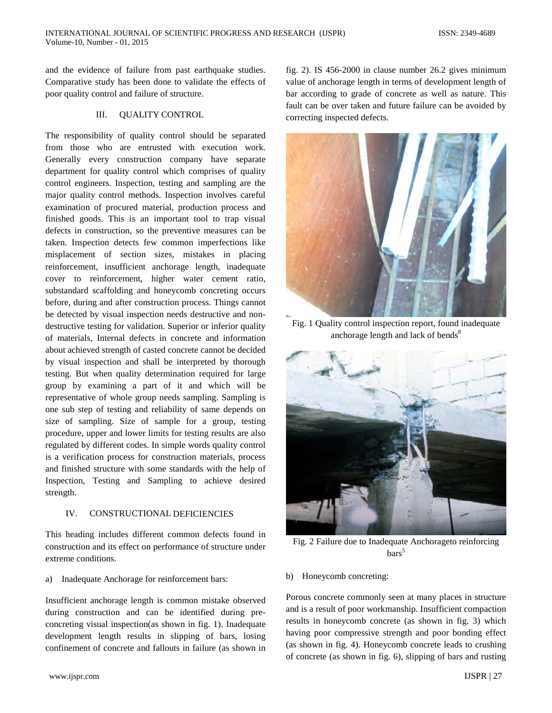and the evidence of failure from past earthquake studies. Comparative study has been done to validate the effects of poor quality control and failure of structure.

## III. QUALITY CONTROL

The responsibility of quality control should be separated from those who are entrusted with execution work. Generally every construction company have separate department for quality control which comprises of quality control engineers. Inspection, testing and sampling are the major quality control methods. Inspection involves careful examination of procured material, production process and finished goods. This is an important tool to trap visual defects in construction, so the preventive measures can be taken. Inspection detects few common imperfections like misplacement of section sizes, mistakes in placing reinforcement, insufficient anchorage length, inadequate cover to reinforcement, higher water cement ratio, substandard scaffolding and honeycomb concreting occurs before, during and after construction process. Things cannot be detected by visual inspection needs destructive and nondestructive testing for validation. Superior or inferior quality of materials, Internal defects in concrete and information about achieved strength of casted concrete cannot be decided by visual inspection and shall be interpreted by thorough testing. But when quality determination required for large group by examining a part of it and which will be representative of whole group needs sampling. Sampling is one sub step of testing and reliability of same depends on size of sampling. Size of sample for a group, testing procedure, upper and lower limits for testing results are also regulated by different codes. In simple words quality control is a verification process for construction materials, process and finished structure with some standards with the help of Inspection, Testing and Sampling to achieve desired strength.

## IV. CONSTRUCTIONAL DEFICIENCIES

This heading includes different common defects found in construction and its effect on performance of structure under extreme conditions.

a) Inadequate Anchorage for reinforcement bars:

Insufficient anchorage length is common mistake observed during construction and can be identified during preconcreting visual inspection(as shown in fig. 1). Inadequate development length results in slipping of bars, losing confinement of concrete and fallouts in failure (as shown in fig. 2). IS 456-2000 in clause number 26.2 gives minimum value of anchorage length in terms of development length of bar according to grade of concrete as well as nature. This fault can be over taken and future failure can be avoided by correcting inspected defects.



Fig. 1 Quality control inspection report, found inadequate anchorage length and lack of bends<sup>8</sup>



Fig. 2 Failure due to Inadequate Anchorageto reinforcing  $bars^5$ 

b) Honeycomb concreting:

Porous concrete commonly seen at many places in structure and is a result of poor workmanship. Insufficient compaction results in honeycomb concrete (as shown in fig. 3) which having poor compressive strength and poor bonding effect (as shown in fig. 4). Honeycomb concrete leads to crushing of concrete (as shown in fig. 6), slipping of bars and rusting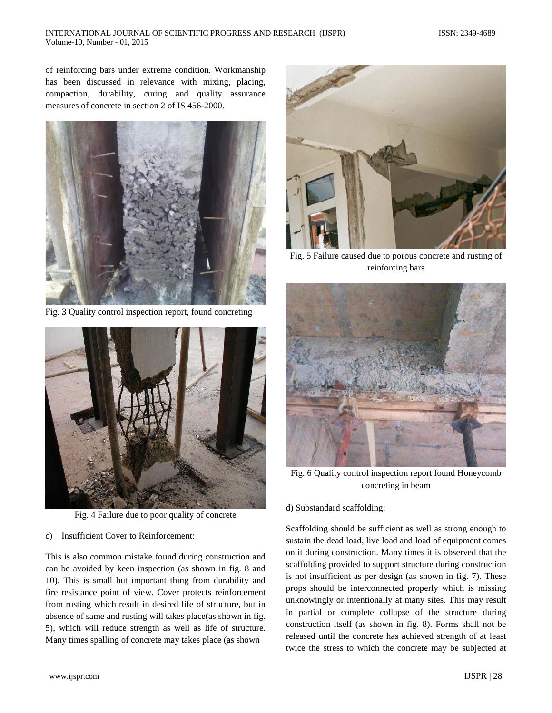### INTERNATIONAL JOURNAL OF SCIENTIFIC PROGRESS AND RESEARCH (IJSPR) ISSN: 2349-4689 Volume-10, Number - 01, 2015

of reinforcing bars under extreme condition. Workmanship has been discussed in relevance with mixing, placing, compaction, durability, curing and quality assurance measures of concrete in section 2 of IS 456-2000.



Fig. 3 Quality control inspection report, found concreting



Fig. 4 Failure due to poor quality of concrete

## c) Insufficient Cover to Reinforcement:

This is also common mistake found during construction and can be avoided by keen inspection (as shown in fig. 8 and 10). This is small but important thing from durability and fire resistance point of view. Cover protects reinforcement from rusting which result in desired life of structure, but in absence of same and rusting will takes place(as shown in fig. 5), which will reduce strength as well as life of structure. Many times spalling of concrete may takes place (as shown



Fig. 5 Failure caused due to porous concrete and rusting of reinforcing bars



Fig. 6 Quality control inspection report found Honeycomb concreting in beam

# d) Substandard scaffolding:

Scaffolding should be sufficient as well as strong enough to sustain the dead load, live load and load of equipment comes on it during construction. Many times it is observed that the scaffolding provided to support structure during construction is not insufficient as per design (as shown in fig. 7). These props should be interconnected properly which is missing unknowingly or intentionally at many sites. This may result in partial or complete collapse of the structure during construction itself (as shown in fig. 8). Forms shall not be released until the concrete has achieved strength of at least twice the stress to which the concrete may be subjected at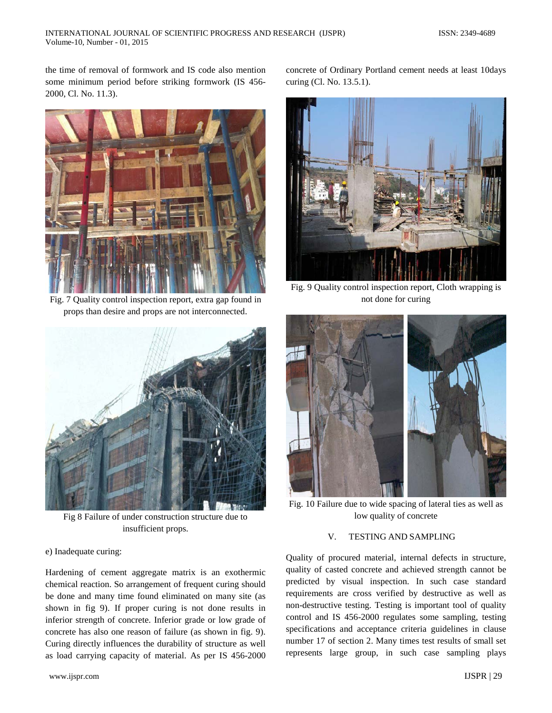the time of removal of formwork and IS code also mention some minimum period before striking formwork (IS 456- 2000, Cl. No. 11.3).



Fig. 7 Quality control inspection report, extra gap found in props than desire and props are not interconnected.



Fig 8 Failure of under construction structure due to insufficient props.

#### e) Inadequate curing:

Hardening of cement aggregate matrix is an exothermic chemical reaction. So arrangement of frequent curing should be done and many time found eliminated on many site (as shown in fig 9). If proper curing is not done results in inferior strength of concrete. Inferior grade or low grade of concrete has also one reason of failure (as shown in fig. 9). Curing directly influences the durability of structure as well as load carrying capacity of material. As per IS 456-2000 concrete of Ordinary Portland cement needs at least 10days curing (Cl. No. 13.5.1).



Fig. 9 Quality control inspection report, Cloth wrapping is not done for curing



Fig. 10 Failure due to wide spacing of lateral ties as well as low quality of concrete

## V. TESTING AND SAMPLING

Quality of procured material, internal defects in structure, quality of casted concrete and achieved strength cannot be predicted by visual inspection. In such case standard requirements are cross verified by destructive as well as non-destructive testing. Testing is important tool of quality control and IS 456-2000 regulates some sampling, testing specifications and acceptance criteria guidelines in clause number 17 of section 2. Many times test results of small set represents large group, in such case sampling plays